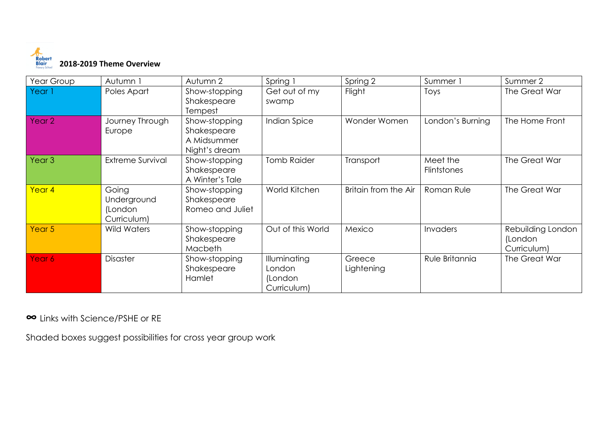

| Year Group        | Autumn 1                                       | Autumn 2                                                     | Spring 1                                         | Spring 2             | Summer 1                | Summer 2                                    |
|-------------------|------------------------------------------------|--------------------------------------------------------------|--------------------------------------------------|----------------------|-------------------------|---------------------------------------------|
| Year 1            | Poles Apart                                    | Show-stopping<br>Shakespeare<br>Tempest                      | Get out of my<br>swamp                           | Flight               | Toys                    | The Great War                               |
| Year <sub>2</sub> | Journey Through<br>Europe                      | Show-stopping<br>Shakespeare<br>A Midsummer<br>Night's dream | Indian Spice                                     | Wonder Women         | London's Burning        | The Home Front                              |
| Year <sub>3</sub> | <b>Extreme Survival</b>                        | Show-stopping<br>Shakespeare<br>A Winter's Tale              | <b>Tomb Raider</b>                               | Transport            | Meet the<br>Flintstones | The Great War                               |
| Year 4            | Going<br>Underground<br>(London<br>Curriculum) | Show-stopping<br>Shakespeare<br>Romeo and Juliet             | World Kitchen                                    | Britain from the Air | Roman Rule              | The Great War                               |
| Year <sub>5</sub> | <b>Wild Waters</b>                             | Show-stopping<br>Shakespeare<br>Macbeth                      | Out of this World                                | Mexico               | Invaders                | Rebuilding London<br>(London<br>Curriculum) |
| Year 6            | Disaster                                       | Show-stopping<br>Shakespeare<br>Hamlet                       | Illuminating<br>London<br>(London<br>Curriculum) | Greece<br>Lightening | Rule Britannia          | The Great War                               |

**∞** Links with Science/PSHE or RE

Shaded boxes suggest possibilities for cross year group work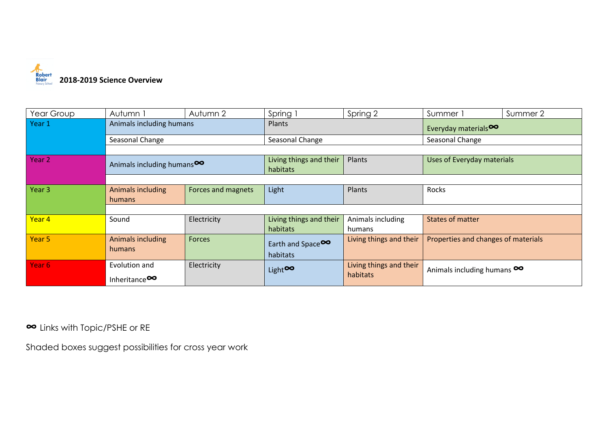

| Year Group        | Autumn 1                               | Autumn 2           | Spring 1                            | Spring 2                | Summer 1                            | Summer 2 |  |  |
|-------------------|----------------------------------------|--------------------|-------------------------------------|-------------------------|-------------------------------------|----------|--|--|
| Year 1            | Animals including humans               |                    | Plants                              |                         | Everyday materials <sup>00</sup>    |          |  |  |
|                   | Seasonal Change                        |                    | Seasonal Change                     |                         | Seasonal Change                     |          |  |  |
|                   |                                        |                    |                                     |                         |                                     |          |  |  |
| Year 2            | Animals including humans <sup>00</sup> |                    | Living things and their<br>habitats | Plants                  | Uses of Everyday materials          |          |  |  |
|                   |                                        |                    |                                     |                         |                                     |          |  |  |
| Year 3            | Animals including                      | Forces and magnets | Light                               | Plants                  | Rocks                               |          |  |  |
|                   | humans                                 |                    |                                     |                         |                                     |          |  |  |
|                   |                                        |                    |                                     |                         |                                     |          |  |  |
| Year 4            | Sound                                  | Electricity        | Living things and their             | Animals including       | <b>States of matter</b>             |          |  |  |
|                   |                                        |                    | habitats                            | humans                  |                                     |          |  |  |
| Year <sub>5</sub> | Animals including<br>Forces<br>humans  |                    | Earth and Space                     | Living things and their | Properties and changes of materials |          |  |  |
|                   |                                        |                    | habitats                            |                         |                                     |          |  |  |
| Year 6            | Evolution and                          | Electricity        |                                     | Living things and their |                                     |          |  |  |
|                   |                                        |                    | Light <sup>oo</sup>                 | habitats                | Animals including humans $\infty$   |          |  |  |
|                   | Inheritance <sup>00</sup>              |                    |                                     |                         |                                     |          |  |  |

**∞** Links with Topic/PSHE or RE

Shaded boxes suggest possibilities for cross year work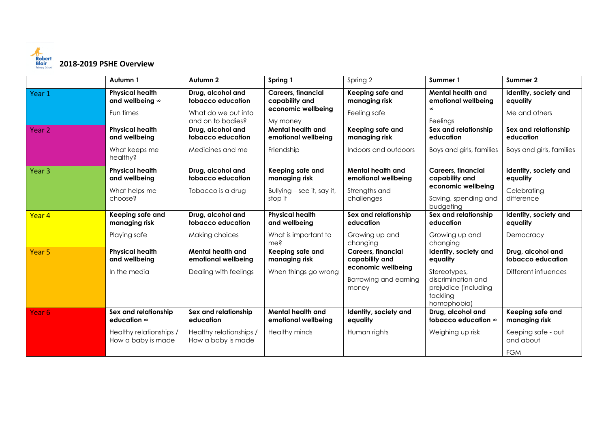

|                   | Autumn 1                                                                                    | Autumn 2                                                                           | Spring 1                                                                      | Spring 2                                                                                            | Summer 1                                                                                                                   | Summer 2                                                                           |
|-------------------|---------------------------------------------------------------------------------------------|------------------------------------------------------------------------------------|-------------------------------------------------------------------------------|-----------------------------------------------------------------------------------------------------|----------------------------------------------------------------------------------------------------------------------------|------------------------------------------------------------------------------------|
| Year 1            | <b>Physical health</b><br>and wellbeing $\infty$<br>Fun times                               | Drug, alcohol and<br>tobacco education<br>What do we put into<br>and on to bodies? | <b>Careers, financial</b><br>capability and<br>economic wellbeing<br>My money | Keeping safe and<br>managing risk<br>Feeling safe                                                   | <b>Mental health and</b><br>emotional wellbeing<br>Feelings                                                                | Identity, society and<br>equality<br>Me and others                                 |
| Year <sub>2</sub> | <b>Physical health</b><br>and wellbeing<br>What keeps me<br>healthy?                        | Drug, alcohol and<br>tobacco education<br>Medicines and me                         | <b>Mental health and</b><br>emotional wellbeing<br>Friendship                 | Keeping safe and<br>managing risk<br>Indoors and outdoors                                           | Sex and relationship<br>education<br>Boys and girls, families                                                              | Sex and relationship<br>education<br>Boys and girls, families                      |
| Year <sub>3</sub> | <b>Physical health</b><br>and wellbeing<br>What helps me<br>choose?                         | Drug, alcohol and<br>tobacco education<br>Tobacco is a drug                        | Keeping safe and<br>managing risk<br>Bullying – see it, say it,<br>stop it    | Mental health and<br>emotional wellbeing<br>Strengths and<br>challenges                             | <b>Careers, financial</b><br>capability and<br>economic wellbeing<br>Saving, spending and<br>budgeting                     | Identity, society and<br>equality<br>Celebrating<br>difference                     |
| Year 4            | Keeping safe and<br>managing risk<br>Playing safe                                           | Drug, alcohol and<br>tobacco education<br>Making choices                           | <b>Physical health</b><br>and wellbeing<br>What is important to<br>me?        | Sex and relationship<br>education<br>Growing up and<br>changing                                     | Sex and relationship<br>education<br>Growing up and<br>changing                                                            | Identity, society and<br>equality<br>Democracy                                     |
| Year <sub>5</sub> | <b>Physical health</b><br>and wellbeing<br>In the media                                     | Mental health and<br>emotional wellbeing<br>Dealing with feelings                  | Keeping safe and<br>managing risk<br>When things go wrong                     | <b>Careers, financial</b><br>capability and<br>economic wellbeing<br>Borrowing and earning<br>money | Identity, society and<br>equality<br>Stereotypes,<br>discrimination and<br>prejudice (including<br>tackling<br>homophobia) | Drug, alcohol and<br>tobacco education<br>Different influences                     |
| Year <sub>6</sub> | Sex and relationship<br>education $\infty$<br>Healthy relationships /<br>How a baby is made | Sex and relationship<br>education<br>Healthy relationships /<br>How a baby is made | <b>Mental health and</b><br>emotional wellbeing<br>Healthy minds              | Identity, society and<br>equality<br>Human rights                                                   | Drug, alcohol and<br>tobacco education $\infty$<br>Weighing up risk                                                        | Keeping safe and<br>managing risk<br>Keeping safe - out<br>and about<br><b>FGM</b> |